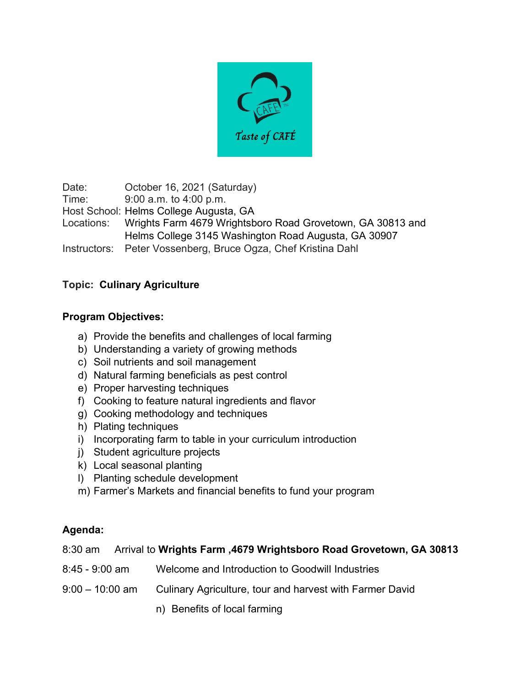

Date: **October 16, 2021 (Saturday)** Time: 9:00 a.m. to 4:00 p.m. Host School: Helms College Augusta, GA Locations: Wrights Farm 4679 Wrightsboro Road Grovetown, GA 30813 and Helms College 3145 Washington Road Augusta, GA 30907 Instructors: Peter Vossenberg, Bruce Ogza, Chef Kristina Dahl

## **Topic: Culinary Agriculture**

## **Program Objectives:**

- a) Provide the benefits and challenges of local farming
- b) Understanding a variety of growing methods
- c) Soil nutrients and soil management
- d) Natural farming beneficials as pest control
- e) Proper harvesting techniques
- f) Cooking to feature natural ingredients and flavor
- g) Cooking methodology and techniques
- h) Plating techniques
- i) Incorporating farm to table in your curriculum introduction
- j) Student agriculture projects
- k) Local seasonal planting
- l) Planting schedule development
- m) Farmer's Markets and financial benefits to fund your program

#### **Agenda:**

|  |  | 8:30 am Arrival to Wrights Farm, 4679 Wrightsboro Road Grovetown, GA 30813 |  |
|--|--|----------------------------------------------------------------------------|--|
|--|--|----------------------------------------------------------------------------|--|

- 8:45 9:00 am Welcome and Introduction to Goodwill Industries
- 9:00 10:00 am Culinary Agriculture, tour and harvest with Farmer David
	- n) Benefits of local farming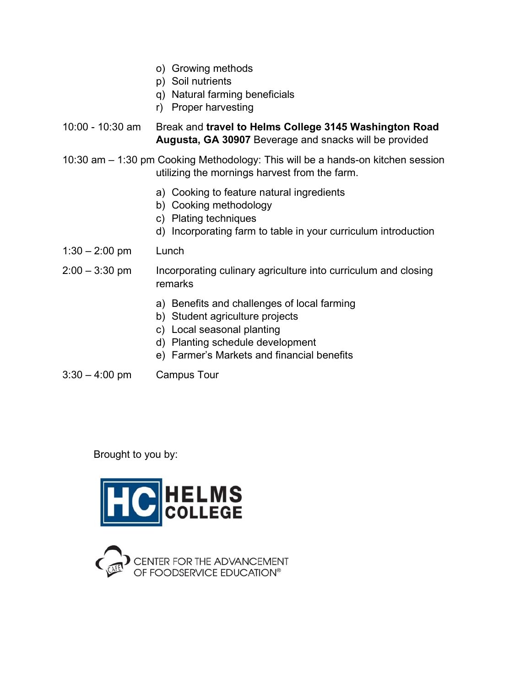- o) Growing methods
- p) Soil nutrients
- q) Natural farming beneficials
- r) Proper harvesting
- 10:00 10:30 am Break and **travel to Helms College 3145 Washington Road Augusta, GA 30907** Beverage and snacks will be provided
- 10:30 am 1:30 pm Cooking Methodology: This will be a hands-on kitchen session utilizing the mornings harvest from the farm.
	- a) Cooking to feature natural ingredients
	- b) Cooking methodology
	- c) Plating techniques
	- d) Incorporating farm to table in your curriculum introduction
- 1:30 2:00 pm Lunch
- 2:00 3:30 pm Incorporating culinary agriculture into curriculum and closing remarks
	- a) Benefits and challenges of local farming
	- b) Student agriculture projects
	- c) Local seasonal planting
	- d) Planting schedule development
	- e) Farmer's Markets and financial benefits
- 3:30 4:00 pm Campus Tour

### Brought to you by:



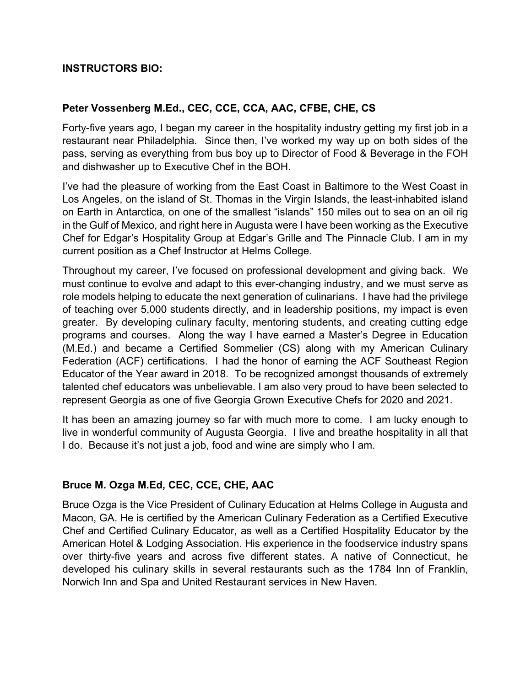## **INSTRUCTORS BIO:**

### **Peter Vossenberg M.Ed., CEC, CCE, CCA, AAC, CFBE, CHE, CS**

Forty-five years ago, I began my career in the hospitality industry getting my first job in a restaurant near Philadelphia. Since then, I've worked my way up on both sides of the pass, serving as everything from bus boy up to Director of Food & Beverage in the FOH and dishwasher up to Executive Chef in the BOH.

I've had the pleasure of working from the East Coast in Baltimore to the West Coast in Los Angeles, on the island of St. Thomas in the Virgin Islands, the least-inhabited island on Earth in Antarctica, on one of the smallest "islands" 150 miles out to sea on an oil rig in the Gulf of Mexico, and right here in Augusta were I have been working as the Executive Chef for Edgar's Hospitality Group at Edgar's Grille and The Pinnacle Club. I am in my current position as a Chef Instructor at Helms College.

Throughout my career, I've focused on professional development and giving back. We must continue to evolve and adapt to this ever-changing industry, and we must serve as role models helping to educate the next generation of culinarians. I have had the privilege of teaching over 5,000 students directly, and in leadership positions, my impact is even greater. By developing culinary faculty, mentoring students, and creating cutting edge programs and courses. Along the way I have earned a Master's Degree in Education (M.Ed.) and became a Certified Sommelier (CS) along with my American Culinary Federation (ACF) certifications. I had the honor of earning the ACF Southeast Region Educator of the Year award in 2018. To be recognized amongst thousands of extremely talented chef educators was unbelievable. I am also very proud to have been selected to represent Georgia as one of five Georgia Grown Executive Chefs for 2020 and 2021.

It has been an amazing journey so far with much more to come. I am lucky enough to live in wonderful community of Augusta Georgia. I live and breathe hospitality in all that I do. Because it's not just a job, food and wine are simply who I am.

## **Bruce M. Ozga M.Ed, CEC, CCE, CHE, AAC**

Bruce Ozga is the Vice President of Culinary Education at Helms College in Augusta and Macon, GA. He is certified by the American Culinary Federation as a Certified Executive Chef and Certified Culinary Educator, as well as a Certified Hospitality Educator by the American Hotel & Lodging Association. His experience in the foodservice industry spans over thirty-five years and across five different states. A native of Connecticut, he developed his culinary skills in several restaurants such as the 1784 Inn of Franklin, Norwich Inn and Spa and United Restaurant services in New Haven.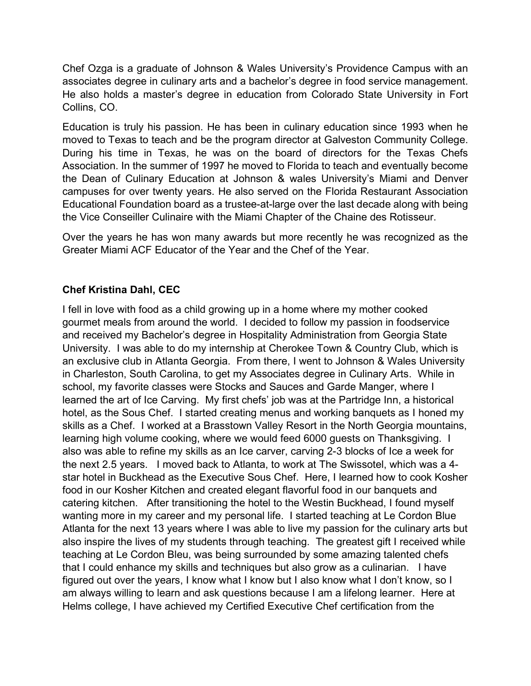Chef Ozga is a graduate of Johnson & Wales University's Providence Campus with an associates degree in culinary arts and a bachelor's degree in food service management. He also holds a master's degree in education from Colorado State University in Fort Collins, CO.

Education is truly his passion. He has been in culinary education since 1993 when he moved to Texas to teach and be the program director at Galveston Community College. During his time in Texas, he was on the board of directors for the Texas Chefs Association. In the summer of 1997 he moved to Florida to teach and eventually become the Dean of Culinary Education at Johnson & wales University's Miami and Denver campuses for over twenty years. He also served on the Florida Restaurant Association Educational Foundation board as a trustee-at-large over the last decade along with being the Vice Conseiller Culinaire with the Miami Chapter of the Chaine des Rotisseur.

Over the years he has won many awards but more recently he was recognized as the Greater Miami ACF Educator of the Year and the Chef of the Year.

# **Chef Kristina Dahl, CEC**

I fell in love with food as a child growing up in a home where my mother cooked gourmet meals from around the world. I decided to follow my passion in foodservice and received my Bachelor's degree in Hospitality Administration from Georgia State University. I was able to do my internship at Cherokee Town & Country Club, which is an exclusive club in Atlanta Georgia. From there, I went to Johnson & Wales University in Charleston, South Carolina, to get my Associates degree in Culinary Arts. While in school, my favorite classes were Stocks and Sauces and Garde Manger, where I learned the art of Ice Carving. My first chefs' job was at the Partridge Inn, a historical hotel, as the Sous Chef. I started creating menus and working banquets as I honed my skills as a Chef. I worked at a Brasstown Valley Resort in the North Georgia mountains, learning high volume cooking, where we would feed 6000 guests on Thanksgiving. I also was able to refine my skills as an Ice carver, carving 2-3 blocks of Ice a week for the next 2.5 years. I moved back to Atlanta, to work at The Swissotel, which was a 4 star hotel in Buckhead as the Executive Sous Chef. Here, I learned how to cook Kosher food in our Kosher Kitchen and created elegant flavorful food in our banquets and catering kitchen. After transitioning the hotel to the Westin Buckhead, I found myself wanting more in my career and my personal life. I started teaching at Le Cordon Blue Atlanta for the next 13 years where I was able to live my passion for the culinary arts but also inspire the lives of my students through teaching. The greatest gift I received while teaching at Le Cordon Bleu, was being surrounded by some amazing talented chefs that I could enhance my skills and techniques but also grow as a culinarian. I have figured out over the years, I know what I know but I also know what I don't know, so I am always willing to learn and ask questions because I am a lifelong learner. Here at Helms college, I have achieved my Certified Executive Chef certification from the